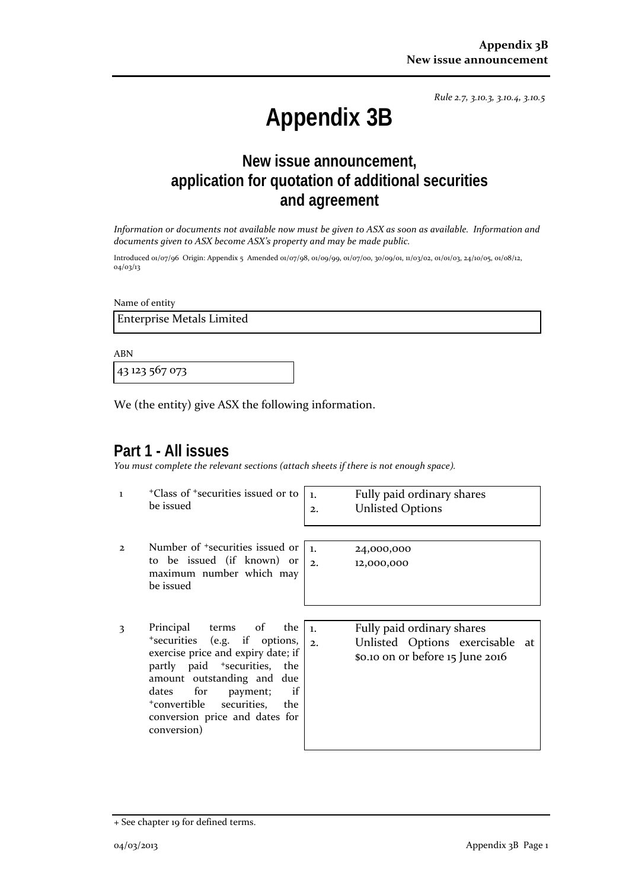*Rule 2.7, 3.10.3, 3.10.4, 3.10.5*

# **Appendix 3B**

## **New issue announcement, application for quotation of additional securities and agreement**

*Information or documents not available now must be given to ASX as soon as available. Information and documents given to ASX become ASX's property and may be made public.*

Introduced 01/07/96 Origin: Appendix 5 Amended 01/07/98, 01/09/99, 01/07/00, 30/09/01, 11/03/02, 01/01/03, 24/10/05, 01/08/12, 04/03/13

Name of entity

Enterprise Metals Limited

ABN

43 123 567 073

We (the entity) give ASX the following information.

## **Part 1 - All issues**

*You must complete the relevant sections (attach sheets if there is not enough space).*

- 1 +Class of +securities issued or to be issued
- 2 Number of +securities issued or to be issued (if known) or maximum number which may be issued
- 3 Principal terms of the +securities (e.g. if options, exercise price and expiry date; if partly paid <sup>+</sup>securities, the amount outstanding and due dates for payment; if +convertible securities, the conversion price and dates for conversion)

1. Fully paid ordinary shares 2. Unlisted Options

1. 24,000,000 2. 12,000,000

1. Fully paid ordinary shares 2. Unlisted Options exercisable at \$0.10 on or before 15 June 2016

<sup>+</sup> See chapter 19 for defined terms.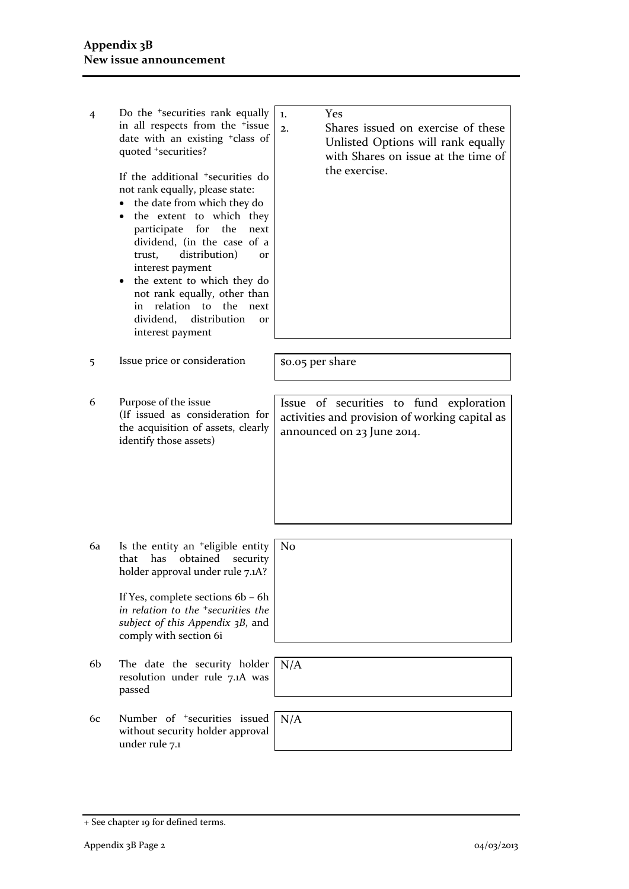4 Do the <sup>+</sup>securities rank equally in all respects from the +issue date with an existing +class of quoted +securities?

> If the additional +securities do not rank equally, please state:

- the date from which they do
- the extent to which they participate for the next dividend, (in the case of a trust, distribution) or interest payment
- the extent to which they do not rank equally, other than in relation to the next dividend, distribution or interest payment
- $\frac{1}{5}$  Issue price or consideration  $\frac{1}{5}$  \$0.05 per share
- 6 Purpose of the issue (If issued as consideration for the acquisition of assets, clearly identify those assets)

6a Is the entity an +eligible entity that has obtained security holder approval under rule 7.1A?

> If Yes, complete sections 6b – 6h *in relation to the +securities the subject of this Appendix 3B*, and comply with section 6i

- 6b The date the security holder resolution under rule 7.1A was passed
- 6c Number of +securities issued without security holder approval under rule 7.1
- 1. Yes
- 2. Shares issued on exercise of these Unlisted Options will rank equally with Shares on issue at the time of the exercise.

Issue of securities to fund exploration activities and provision of working capital as announced on 23 June 2014.

No

N/A

N/A

<sup>+</sup> See chapter 19 for defined terms.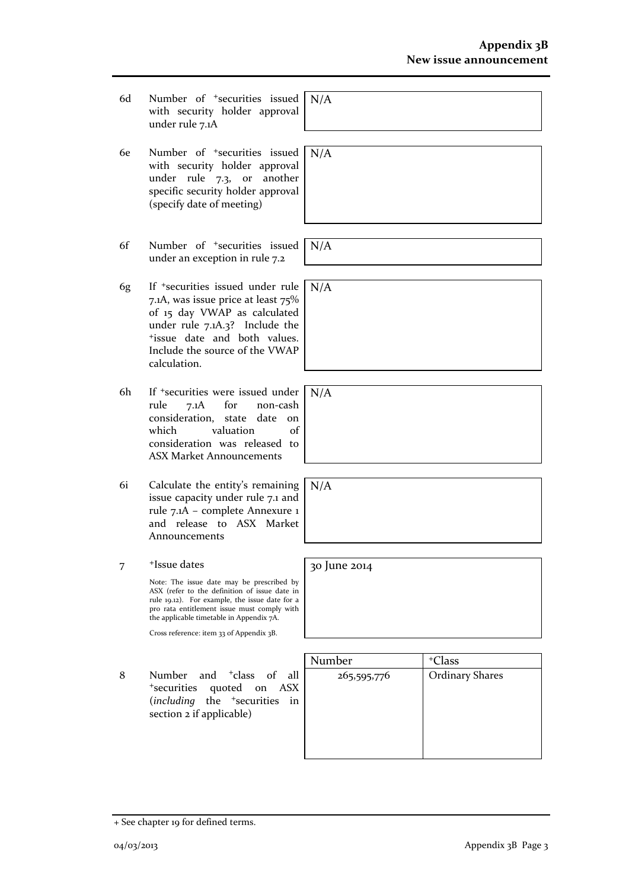- 6d Number of +securities issued with security holder approval under rule 7.1A N/A
- 6e Number of +securities issued with security holder approval under rule 7.3, or another specific security holder approval (specify date of meeting)
- 6f Number of +securities issued under an exception in rule 7.2
- 6g If +securities issued under rule 7.1A, was issue price at least 75% of 15 day VWAP as calculated under rule 7.1A.3? Include the +issue date and both values. Include the source of the VWAP calculation.
- 6h If +securities were issued under rule 7.1A for non-cash consideration, state date on which valuation of consideration was released to ASX Market Announcements
- 6i Calculate the entity's remaining issue capacity under rule 7.1 and rule 7.1A – complete Annexure 1 and release to ASX Market Announcements
- 7 +Issue dates

Note: The issue date may be prescribed by ASX (refer to the definition of issue date in rule 19.12). For example, the issue date for a pro rata entitlement issue must comply with the applicable timetable in Appendix 7A.

Cross reference: item 33 of Appendix 3B.

8 Number and <sup>+</sup>class of all <sup>+</sup>securities quoted on ASX (*including* the <sup>+</sup>securities in section 2 if applicable)

| Number      | <sup>+</sup> Class     |
|-------------|------------------------|
| 265,595,776 | <b>Ordinary Shares</b> |
|             |                        |
|             |                        |
|             |                        |
|             |                        |
|             |                        |

N/A

N/A

N/A

 $N/\overline{A}$ 

N/A

30 June 2014

+ See chapter 19 for defined terms.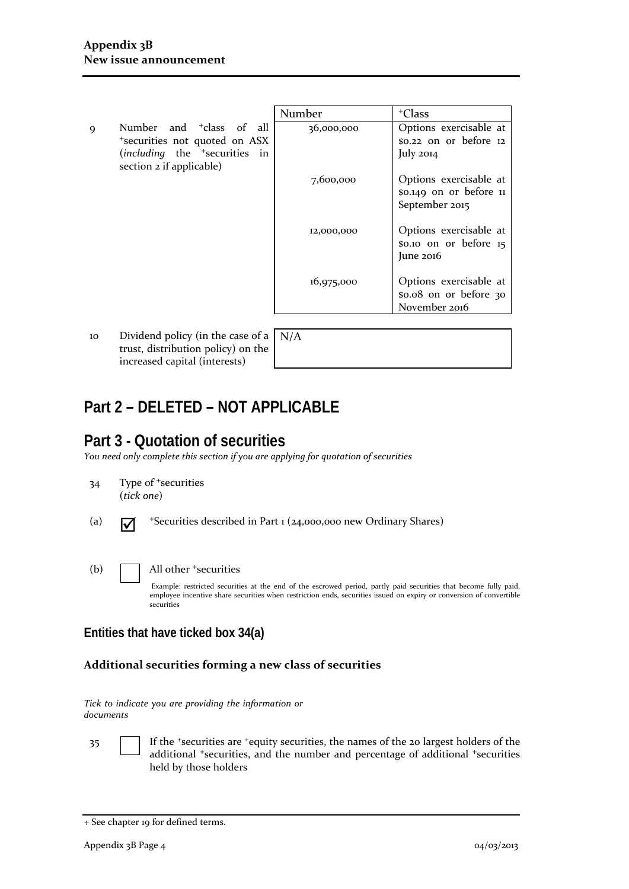- Number <sup>|</sup> +Class 9 Number and <sup>+</sup>class of all <sup>+</sup>securities not quoted on ASX (*including* the <sup>+</sup>securities in section 2 if applicable) 36,000,000 7,600,000 12,000,000 16,975,000 Options exercisable at \$0.22 on or before 12 July 2014 Options exercisable at \$0.149 on or before 11 September 2015 Options exercisable at \$0.10 on or before 15 June 2016 Options exercisable at \$0.08 on or before 30 November 2016
- 10 Dividend policy (in the case of a trust, distribution policy) on the increased capital (interests)
- N/A

## **Part 2 – DELETED – NOT APPLICABLE**

## **Part 3 - Quotation of securities**

*You need only complete this section if you are applying for quotation of securities*

- 34 Type of <sup>+</sup>securities (*tick one*)
- (a)  $\overline{M}$  +Securities described in Part 1 (24,000,000 new Ordinary Shares)
- (b) All other <sup>+</sup>securities

Example: restricted securities at the end of the escrowed period, partly paid securities that become fully paid, employee incentive share securities when restriction ends, securities issued on expiry or conversion of convertible securities

#### **Entities that have ticked box 34(a)**

#### **Additional securities forming a new class of securities**

*Tick to indicate you are providing the information or documents*

35 If the <sup>+</sup>securities are <sup>+</sup>equity securities, the names of the 20 largest holders of the additional <sup>+</sup>securities, and the number and percentage of additional <sup>+</sup>securities held by those holders

<sup>+</sup> See chapter 19 for defined terms.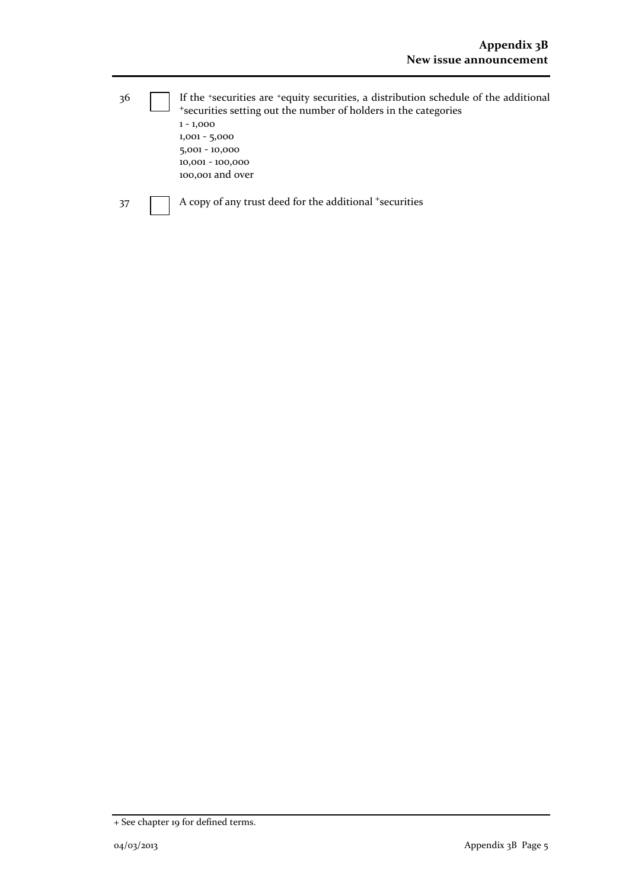| 36 | If the 'securities are 'equity securities, a distribution schedule of the additional<br>*securities setting out the number of holders in the categories |  |
|----|---------------------------------------------------------------------------------------------------------------------------------------------------------|--|
|    | $1 - 1,000$                                                                                                                                             |  |
|    | $1,001 - 5,000$                                                                                                                                         |  |
|    | $5,001 - 10,000$                                                                                                                                        |  |
|    | 10,001 - 100,000                                                                                                                                        |  |
|    | 100,001 and over                                                                                                                                        |  |
| 37 | A copy of any trust deed for the additional <sup>+</sup> securities                                                                                     |  |

<sup>+</sup> See chapter 19 for defined terms.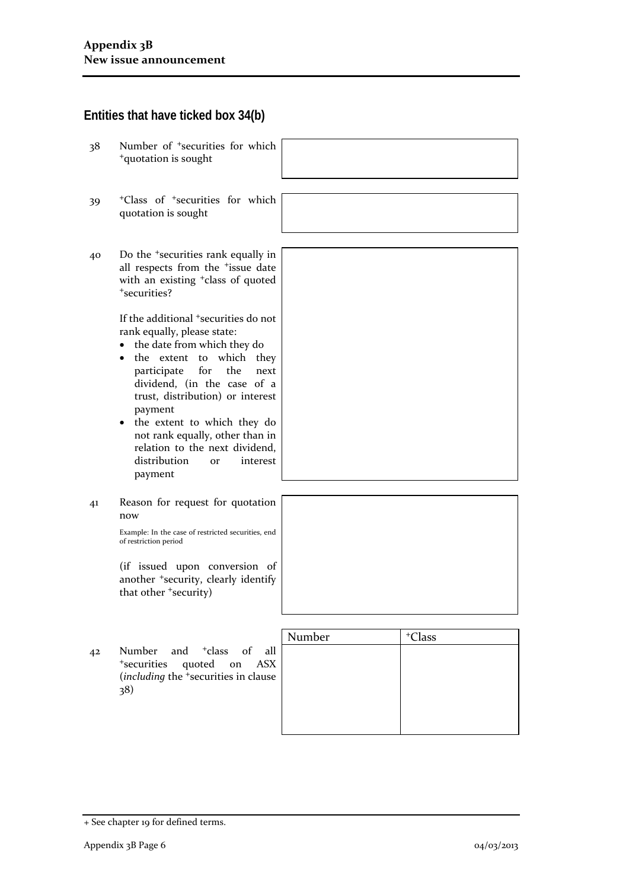#### **Entities that have ticked box 34(b)**

- 38 Number of <sup>+</sup>securities for which <sup>+</sup>quotation is sought
- 39 <sup>+</sup>Class of <sup>+</sup>securities for which quotation is sought
- 40 Do the <sup>+</sup>securities rank equally in all respects from the <sup>+</sup>issue date with an existing <sup>+</sup>class of quoted <sup>+</sup>securities?

If the additional <sup>+</sup>securities do not rank equally, please state:

- the date from which they do
- the extent to which they participate for the next dividend, (in the case of a trust, distribution) or interest payment
- the extent to which they do not rank equally, other than in relation to the next dividend, distribution or interest payment
- 41 Reason for request for quotation now

Example: In the case of restricted securities, end of restriction period

(if issued upon conversion of another <sup>+</sup>security, clearly identify that other <sup>+</sup>security)

42 Number and <sup>+</sup>class of all <sup>+</sup>securities quoted on ASX (*including* the <sup>+</sup>securities in clause 38)

| Number | <sup>+</sup> Class |
|--------|--------------------|
|        |                    |
|        |                    |
|        |                    |
|        |                    |
|        |                    |
|        |                    |

<sup>+</sup> See chapter 19 for defined terms.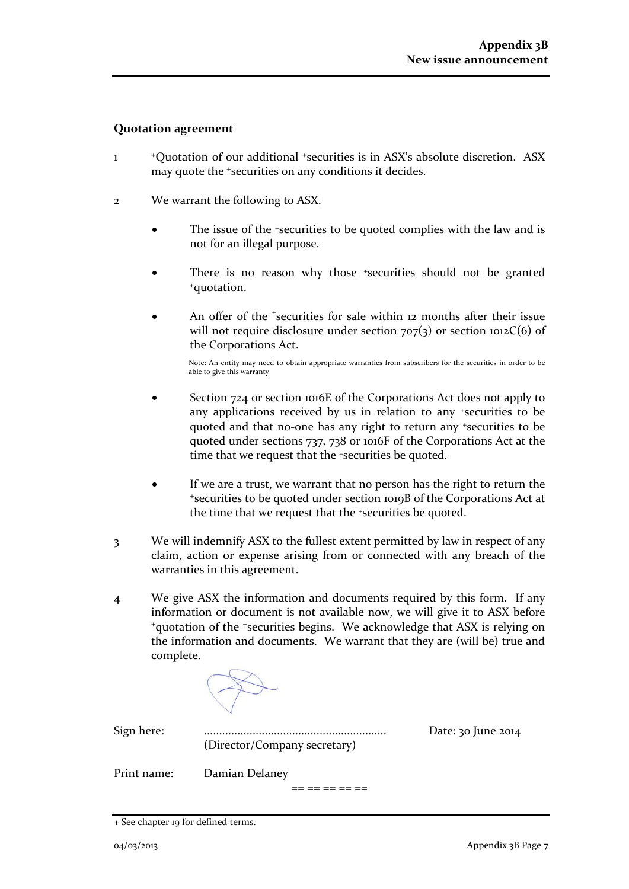#### **Quotation agreement**

- 1 <sup>+</sup>Quotation of our additional +securities is in ASX's absolute discretion. ASX may quote the +securities on any conditions it decides.
- 2 We warrant the following to ASX.
	- The issue of the +securities to be quoted complies with the law and is not for an illegal purpose.
	- There is no reason why those \*securities should not be granted \*quotation.
	- An offer of the <sup>+</sup>securities for sale within 12 months after their issue will not require disclosure under section  $707(3)$  or section  $1012C(6)$  of the Corporations Act.

Note: An entity may need to obtain appropriate warranties from subscribers for the securities in order to be able to give this warranty

- Section 724 or section 1016E of the Corporations Act does not apply to any applications received by us in relation to any +securities to be quoted and that no-one has any right to return any +securities to be quoted under sections 737, 738 or 1016F of the Corporations Act at the time that we request that the <sup>+</sup>securities be quoted.
- If we are a trust, we warrant that no person has the right to return the <sup>+</sup>securities to be quoted under section 1019B of the Corporations Act at the time that we request that the +securities be quoted.
- 3 We will indemnify ASX to the fullest extent permitted by law in respect of any claim, action or expense arising from or connected with any breach of the warranties in this agreement.
- 4 We give ASX the information and documents required by this form. If any information or document is not available now, we will give it to ASX before <sup>+</sup>quotation of the +securities begins. We acknowledge that ASX is relying on the information and documents. We warrant that they are (will be) true and complete.

(Director/Company secretary)

Sign here: ............................................................ Date: 30 June 2014

Print name: Damian Delaney

== == == == ==

<sup>+</sup> See chapter 19 for defined terms.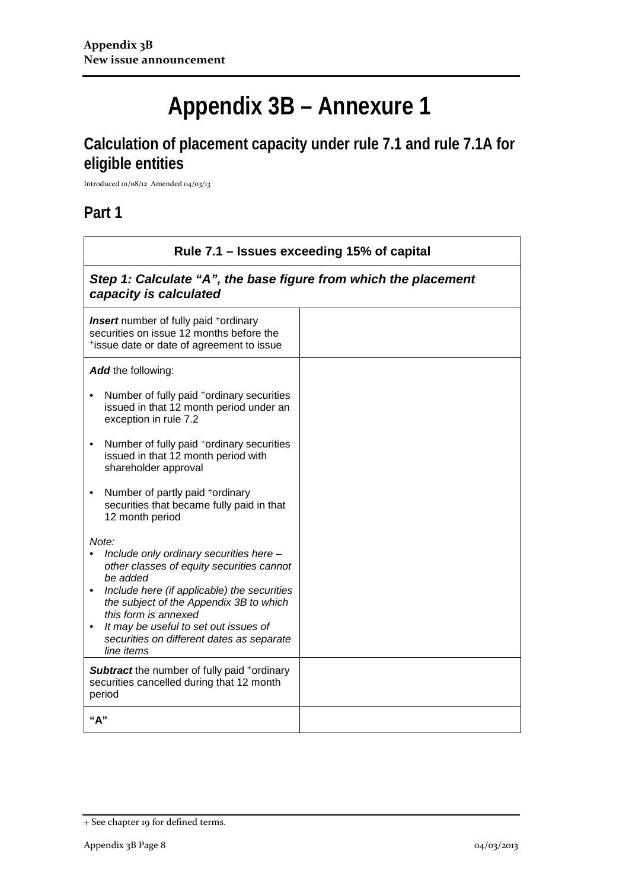# **Appendix 3B – Annexure 1**

# **Calculation of placement capacity under rule 7.1 and rule 7.1A for eligible entities**

Introduced 01/08/12 Amended 04/03/13

### **Part 1**

| Rule 7.1 – Issues exceeding 15% of capital                                                                                                                                                                                                                                                                                                                |  |  |
|-----------------------------------------------------------------------------------------------------------------------------------------------------------------------------------------------------------------------------------------------------------------------------------------------------------------------------------------------------------|--|--|
| Step 1: Calculate "A", the base figure from which the placement<br>capacity is calculated                                                                                                                                                                                                                                                                 |  |  |
| <b>Insert</b> number of fully paid <sup>+</sup> ordinary<br>securities on issue 12 months before the<br>*issue date or date of agreement to issue                                                                                                                                                                                                         |  |  |
| <b>Add</b> the following:                                                                                                                                                                                                                                                                                                                                 |  |  |
| Number of fully paid <sup>+</sup> ordinary securities<br>$\bullet$<br>issued in that 12 month period under an<br>exception in rule 7.2                                                                                                                                                                                                                    |  |  |
| Number of fully paid <sup>+</sup> ordinary securities<br>$\bullet$<br>issued in that 12 month period with<br>shareholder approval                                                                                                                                                                                                                         |  |  |
| Number of partly paid +ordinary<br>$\bullet$<br>securities that became fully paid in that<br>12 month period                                                                                                                                                                                                                                              |  |  |
| Note:<br>Include only ordinary securities here -<br>other classes of equity securities cannot<br>be added<br>Include here (if applicable) the securities<br>$\bullet$<br>the subject of the Appendix 3B to which<br>this form is annexed<br>It may be useful to set out issues of<br>$\bullet$<br>securities on different dates as separate<br>line items |  |  |
| <b>Subtract</b> the number of fully paid +ordinary<br>securities cancelled during that 12 month<br>period                                                                                                                                                                                                                                                 |  |  |
| "A"                                                                                                                                                                                                                                                                                                                                                       |  |  |

<sup>+</sup> See chapter 19 for defined terms.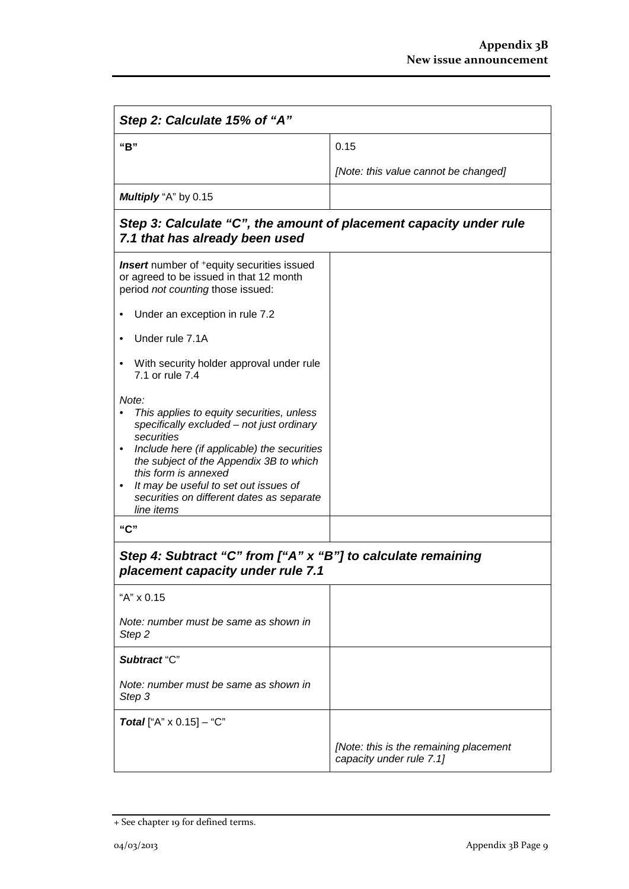| Step 2: Calculate 15% of "A"                                                                                                                                                                                                                                                                                                                          |                                                                    |  |
|-------------------------------------------------------------------------------------------------------------------------------------------------------------------------------------------------------------------------------------------------------------------------------------------------------------------------------------------------------|--------------------------------------------------------------------|--|
| "B"                                                                                                                                                                                                                                                                                                                                                   | 0.15                                                               |  |
|                                                                                                                                                                                                                                                                                                                                                       | [Note: this value cannot be changed]                               |  |
| Multiply "A" by 0.15                                                                                                                                                                                                                                                                                                                                  |                                                                    |  |
| Step 3: Calculate "C", the amount of placement capacity under rule<br>7.1 that has already been used                                                                                                                                                                                                                                                  |                                                                    |  |
| <b>Insert</b> number of <sup>+</sup> equity securities issued<br>or agreed to be issued in that 12 month<br>period not counting those issued:                                                                                                                                                                                                         |                                                                    |  |
| Under an exception in rule 7.2                                                                                                                                                                                                                                                                                                                        |                                                                    |  |
| Under rule 7.1A                                                                                                                                                                                                                                                                                                                                       |                                                                    |  |
| With security holder approval under rule<br>7.1 or rule 7.4                                                                                                                                                                                                                                                                                           |                                                                    |  |
| Note:<br>This applies to equity securities, unless<br>specifically excluded - not just ordinary<br>securities<br>Include here (if applicable) the securities<br>$\bullet$<br>the subject of the Appendix 3B to which<br>this form is annexed<br>It may be useful to set out issues of<br>٠<br>securities on different dates as separate<br>line items |                                                                    |  |
| "C"                                                                                                                                                                                                                                                                                                                                                   |                                                                    |  |
| Step 4: Subtract "C" from ["A" x "B"] to calculate remaining<br>placement capacity under rule 7.1                                                                                                                                                                                                                                                     |                                                                    |  |
| "A" x 0.15                                                                                                                                                                                                                                                                                                                                            |                                                                    |  |
| Note: number must be same as shown in<br>Step 2                                                                                                                                                                                                                                                                                                       |                                                                    |  |
| Subtract "C"                                                                                                                                                                                                                                                                                                                                          |                                                                    |  |
| Note: number must be same as shown in<br>Step 3                                                                                                                                                                                                                                                                                                       |                                                                    |  |
| <b>Total</b> ["A" $\times$ 0.15] – "C"                                                                                                                                                                                                                                                                                                                |                                                                    |  |
|                                                                                                                                                                                                                                                                                                                                                       | [Note: this is the remaining placement<br>capacity under rule 7.1] |  |

<sup>+</sup> See chapter 19 for defined terms.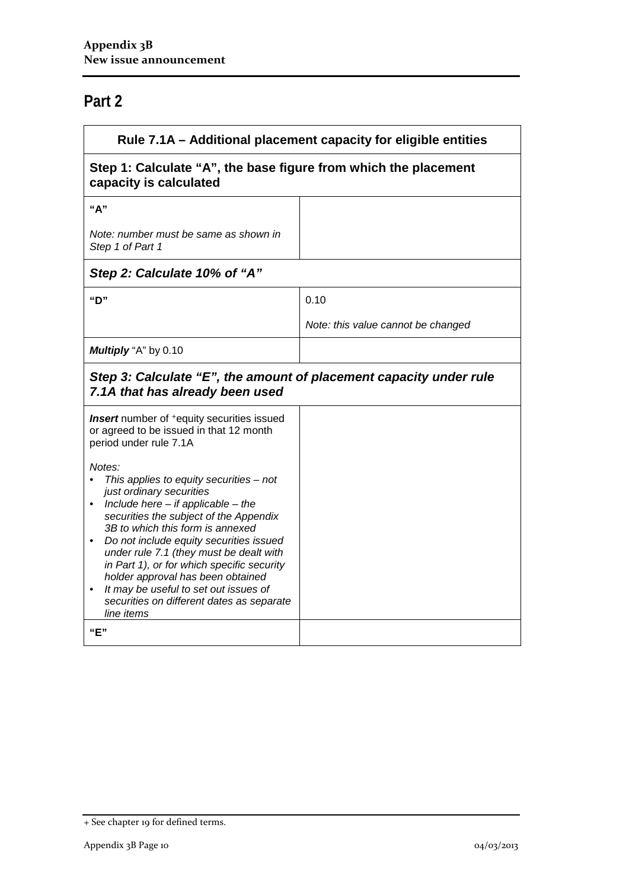## **Part 2**

| Rule 7.1A – Additional placement capacity for eligible entities                                       |  |  |
|-------------------------------------------------------------------------------------------------------|--|--|
| Step 1: Calculate "A", the base figure from which the placement<br>capacity is calculated             |  |  |
|                                                                                                       |  |  |
|                                                                                                       |  |  |
|                                                                                                       |  |  |
| 0.10                                                                                                  |  |  |
| Note: this value cannot be changed                                                                    |  |  |
|                                                                                                       |  |  |
| Step 3: Calculate "E", the amount of placement capacity under rule<br>7.1A that has already been used |  |  |
|                                                                                                       |  |  |
|                                                                                                       |  |  |
|                                                                                                       |  |  |

<sup>+</sup> See chapter 19 for defined terms.